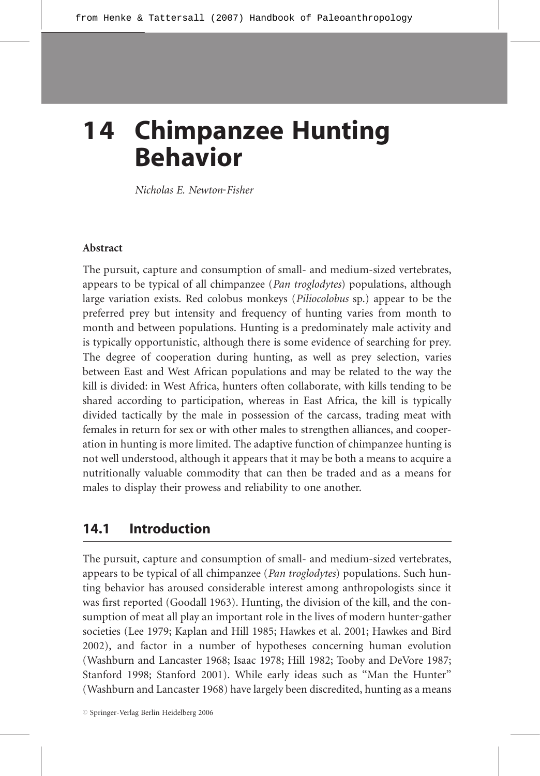# 14 Chimpanzee Hunting Behavior

Nicholas E. Newton‐Fisher

#### Abstract

The pursuit, capture and consumption of small- and medium-sized vertebrates, appears to be typical of all chimpanzee (Pan troglodytes) populations, although large variation exists. Red colobus monkeys (Piliocolobus sp.) appear to be the preferred prey but intensity and frequency of hunting varies from month to month and between populations. Hunting is a predominately male activity and is typically opportunistic, although there is some evidence of searching for prey. The degree of cooperation during hunting, as well as prey selection, varies between East and West African populations and may be related to the way the kill is divided: in West Africa, hunters often collaborate, with kills tending to be shared according to participation, whereas in East Africa, the kill is typically divided tactically by the male in possession of the carcass, trading meat with females in return for sex or with other males to strengthen alliances, and cooperation in hunting is more limited. The adaptive function of chimpanzee hunting is not well understood, although it appears that it may be both a means to acquire a nutritionally valuable commodity that can then be traded and as a means for males to display their prowess and reliability to one another.

### 14.1 Introduction

The pursuit, capture and consumption of small- and medium-sized vertebrates, appears to be typical of all chimpanzee (*Pan troglodytes*) populations. Such hunting behavior has aroused considerable interest among anthropologists since it was first reported (Goodall 1963). Hunting, the division of the kill, and the consumption of meat all play an important role in the lives of modern hunter-gather societies (Lee 1979; Kaplan and Hill 1985; Hawkes et al. 2001; Hawkes and Bird 2002), and factor in a number of hypotheses concerning human evolution (Washburn and Lancaster 1968; Isaac 1978; Hill 1982; Tooby and DeVore 1987; Stanford 1998; Stanford 2001). While early ideas such as ''Man the Hunter'' (Washburn and Lancaster 1968) have largely been discredited, hunting as a means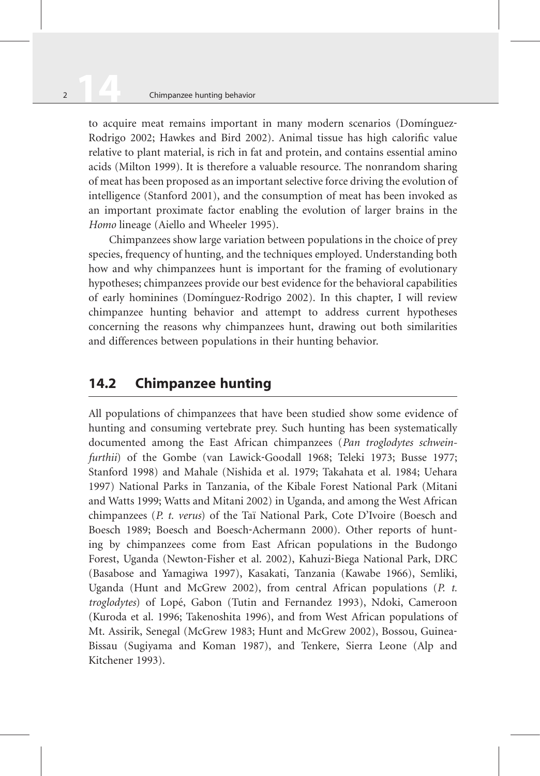to acquire meat remains important in many modern scenarios (Domínguez-Rodrigo 2002; Hawkes and Bird 2002). Animal tissue has high calorific value relative to plant material, is rich in fat and protein, and contains essential amino acids (Milton 1999). It is therefore a valuable resource. The nonrandom sharing of meat has been proposed as an important selective force driving the evolution of intelligence (Stanford 2001), and the consumption of meat has been invoked as an important proximate factor enabling the evolution of larger brains in the Homo lineage (Aiello and Wheeler 1995).

Chimpanzees show large variation between populations in the choice of prey species, frequency of hunting, and the techniques employed. Understanding both how and why chimpanzees hunt is important for the framing of evolutionary hypotheses; chimpanzees provide our best evidence for the behavioral capabilities of early hominines (Domínguez-Rodrigo 2002). In this chapter, I will review chimpanzee hunting behavior and attempt to address current hypotheses concerning the reasons why chimpanzees hunt, drawing out both similarities and differences between populations in their hunting behavior.

### 14.2 Chimpanzee hunting

All populations of chimpanzees that have been studied show some evidence of hunting and consuming vertebrate prey. Such hunting has been systematically documented among the East African chimpanzees (Pan troglodytes schweinfurthii) of the Gombe (van Lawick-Goodall 1968; Teleki 1973; Busse 1977; Stanford 1998) and Mahale (Nishida et al. 1979; Takahata et al. 1984; Uehara 1997) National Parks in Tanzania, of the Kibale Forest National Park (Mitani and Watts 1999; Watts and Mitani 2002) in Uganda, and among the West African chimpanzees (P. t. verus) of the Taı¨ National Park, Cote D'Ivoire (Boesch and Boesch 1989; Boesch and Boesch‐Achermann 2000). Other reports of hunting by chimpanzees come from East African populations in the Budongo Forest, Uganda (Newton‐Fisher et al. 2002), Kahuzi‐Biega National Park, DRC (Basabose and Yamagiwa 1997), Kasakati, Tanzania (Kawabe 1966), Semliki, Uganda (Hunt and McGrew 2002), from central African populations (P. t. troglodytes) of Lopé, Gabon (Tutin and Fernandez 1993), Ndoki, Cameroon (Kuroda et al. 1996; Takenoshita 1996), and from West African populations of Mt. Assirik, Senegal (McGrew 1983; Hunt and McGrew 2002), Bossou, Guinea‐ Bissau (Sugiyama and Koman 1987), and Tenkere, Sierra Leone (Alp and Kitchener 1993).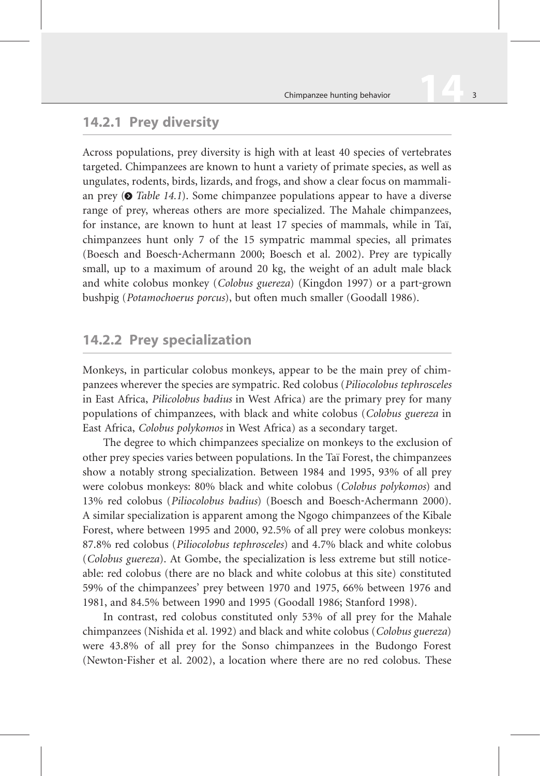### 14.2.1 Prey diversity

Across populations, prey diversity is high with at least 40 species of vertebrates targeted. Chimpanzees are known to hunt a variety of primate species, as well as ungulates, rodents, birds, lizards, and frogs, and show a clear focus on mammalian prey ( $\odot$  Table 14.1). Some chimpanzee populations appear to have a diverse range of prey, whereas others are more specialized. The Mahale chimpanzees, for instance, are known to hunt at least 17 species of mammals, while in Taï, chimpanzees hunt only 7 of the 15 sympatric mammal species, all primates (Boesch and Boesch‐Achermann 2000; Boesch et al. 2002). Prey are typically small, up to a maximum of around 20 kg, the weight of an adult male black and white colobus monkey (*Colobus guereza*) (Kingdon 1997) or a part-grown bushpig (Potamochoerus porcus), but often much smaller (Goodall 1986).

### 14.2.2 Prey specialization

Monkeys, in particular colobus monkeys, appear to be the main prey of chimpanzees wherever the species are sympatric. Red colobus (Piliocolobus tephrosceles in East Africa, *Pilicolobus badius* in West Africa) are the primary prey for many populations of chimpanzees, with black and white colobus (Colobus guereza in East Africa, Colobus polykomos in West Africa) as a secondary target.

The degree to which chimpanzees specialize on monkeys to the exclusion of other prey species varies between populations. In the Taı¨ Forest, the chimpanzees show a notably strong specialization. Between 1984 and 1995, 93% of all prey were colobus monkeys: 80% black and white colobus (Colobus polykomos) and 13% red colobus (Piliocolobus badius) (Boesch and Boesch-Achermann 2000). A similar specialization is apparent among the Ngogo chimpanzees of the Kibale Forest, where between 1995 and 2000, 92.5% of all prey were colobus monkeys: 87.8% red colobus (Piliocolobus tephrosceles) and 4.7% black and white colobus (Colobus guereza). At Gombe, the specialization is less extreme but still noticeable: red colobus (there are no black and white colobus at this site) constituted 59% of the chimpanzees' prey between 1970 and 1975, 66% between 1976 and 1981, and 84.5% between 1990 and 1995 (Goodall 1986; Stanford 1998).

In contrast, red colobus constituted only 53% of all prey for the Mahale chimpanzees (Nishida et al. 1992) and black and white colobus (Colobus guereza) were 43.8% of all prey for the Sonso chimpanzees in the Budongo Forest (Newton‐Fisher et al. 2002), a location where there are no red colobus. These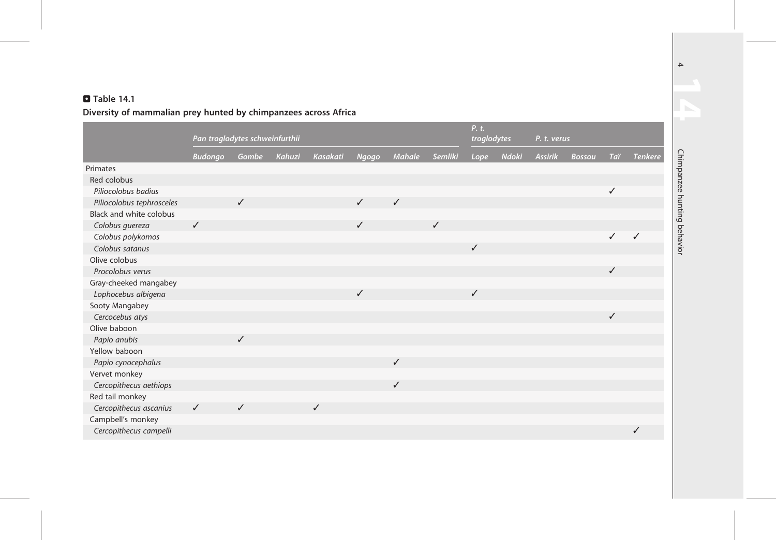#### **D** Table 14.1

|                           | Pan troglodytes schweinfurthii |              |        |          |              |               |                | P. t.<br>troglodytes |              | P. t. verus    |               |     |                |
|---------------------------|--------------------------------|--------------|--------|----------|--------------|---------------|----------------|----------------------|--------------|----------------|---------------|-----|----------------|
|                           | <b>Budongo</b>                 | Gombe        | Kahuzi | Kasakati | Ngogo        | <b>Mahale</b> | <b>Semliki</b> | Lope                 | <b>Ndoki</b> | <b>Assirik</b> | <b>Bossou</b> | Taï | <b>Tenkere</b> |
| Primates                  |                                |              |        |          |              |               |                |                      |              |                |               |     |                |
| Red colobus               |                                |              |        |          |              |               |                |                      |              |                |               |     |                |
| Piliocolobus badius       |                                |              |        |          |              |               |                |                      |              |                |               | ✓   |                |
| Piliocolobus tephrosceles |                                | ✓            |        |          | ✓            | ✓             |                |                      |              |                |               |     |                |
| Black and white colobus   |                                |              |        |          |              |               |                |                      |              |                |               |     |                |
| Colobus guereza           | $\checkmark$                   |              |        |          | ✓            |               | $\checkmark$   |                      |              |                |               |     |                |
| Colobus polykomos         |                                |              |        |          |              |               |                |                      |              |                |               | ✓   | ✓              |
| Colobus satanus           |                                |              |        |          |              |               |                | ✓                    |              |                |               |     |                |
| Olive colobus             |                                |              |        |          |              |               |                |                      |              |                |               |     |                |
| Procolobus verus          |                                |              |        |          |              |               |                |                      |              |                |               | ✓   |                |
| Gray-cheeked mangabey     |                                |              |        |          |              |               |                |                      |              |                |               |     |                |
| Lophocebus albigena       |                                |              |        |          | $\checkmark$ |               |                | ✓                    |              |                |               |     |                |
| Sooty Mangabey            |                                |              |        |          |              |               |                |                      |              |                |               |     |                |
| Cercocebus atys           |                                |              |        |          |              |               |                |                      |              |                |               | ✓   |                |
| Olive baboon              |                                |              |        |          |              |               |                |                      |              |                |               |     |                |
| Papio anubis              |                                | $\checkmark$ |        |          |              |               |                |                      |              |                |               |     |                |
| Yellow baboon             |                                |              |        |          |              |               |                |                      |              |                |               |     |                |
| Papio cynocephalus        |                                |              |        |          |              | ✓             |                |                      |              |                |               |     |                |
| Vervet monkey             |                                |              |        |          |              |               |                |                      |              |                |               |     |                |
| Cercopithecus aethiops    |                                |              |        |          |              | ✓             |                |                      |              |                |               |     |                |
| Red tail monkey           |                                |              |        |          |              |               |                |                      |              |                |               |     |                |
| Cercopithecus ascanius    | $\checkmark$                   | ✓            |        | ✓        |              |               |                |                      |              |                |               |     |                |
| Campbell's monkey         |                                |              |        |          |              |               |                |                      |              |                |               |     |                |
| Cercopithecus campelli    |                                |              |        |          |              |               |                |                      |              |                |               |     | ✓              |

 $\blacktriangle$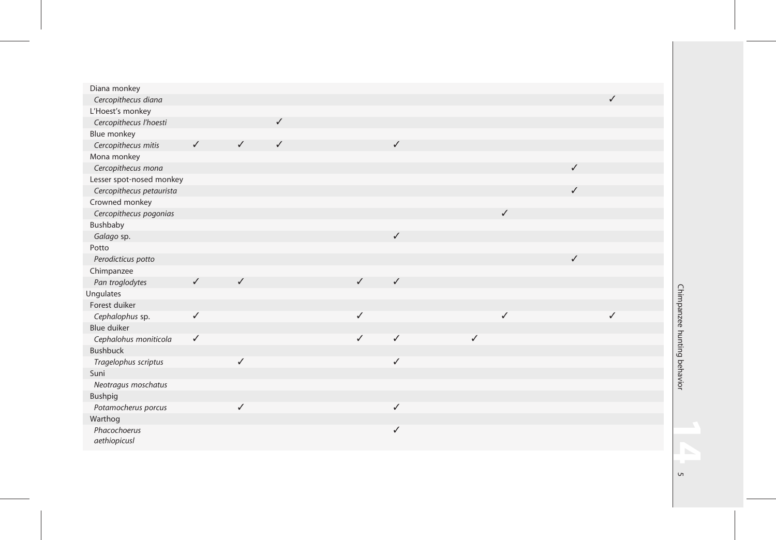| Diana monkey             |              |              |              |              |              |              |   |   |   |                             |
|--------------------------|--------------|--------------|--------------|--------------|--------------|--------------|---|---|---|-----------------------------|
| Cercopithecus diana      |              |              |              |              |              |              |   |   | ✓ |                             |
| L'Hoest's monkey         |              |              |              |              |              |              |   |   |   |                             |
| Cercopithecus l'hoesti   |              |              | $\checkmark$ |              |              |              |   |   |   |                             |
| Blue monkey              |              |              |              |              |              |              |   |   |   |                             |
| Cercopithecus mitis      | $\checkmark$ | $\checkmark$ | $\checkmark$ |              | $\checkmark$ |              |   |   |   |                             |
| Mona monkey              |              |              |              |              |              |              |   |   |   |                             |
| Cercopithecus mona       |              |              |              |              |              |              |   | ✓ |   |                             |
| Lesser spot-nosed monkey |              |              |              |              |              |              |   |   |   |                             |
| Cercopithecus petaurista |              |              |              |              |              |              |   |   |   |                             |
| Crowned monkey           |              |              |              |              |              |              |   |   |   |                             |
| Cercopithecus pogonias   |              |              |              |              |              |              | ✓ |   |   |                             |
| Bushbaby                 |              |              |              |              |              |              |   |   |   |                             |
| Galago sp.               |              |              |              |              | ✓            |              |   |   |   |                             |
| Potto                    |              |              |              |              |              |              |   |   |   |                             |
| Perodicticus potto       |              |              |              |              |              |              |   | ✓ |   |                             |
| Chimpanzee               |              |              |              |              |              |              |   |   |   |                             |
| Pan troglodytes          | $\checkmark$ | $\checkmark$ |              | $\checkmark$ | $\checkmark$ |              |   |   |   |                             |
| Ungulates                |              |              |              |              |              |              |   |   |   |                             |
| Forest duiker            |              |              |              |              |              |              |   |   |   |                             |
| Cephalophus sp.          | $\checkmark$ |              |              | $\checkmark$ |              |              | ✓ |   | ✓ | Chimpanzee hunting behavior |
| <b>Blue duiker</b>       |              |              |              |              |              |              |   |   |   |                             |
| Cephalohus moniticola    | ✓            |              |              | $\checkmark$ | $\checkmark$ | $\checkmark$ |   |   |   |                             |
| Bushbuck                 |              |              |              |              |              |              |   |   |   |                             |
| Tragelophus scriptus     |              | $\checkmark$ |              |              | $\checkmark$ |              |   |   |   |                             |
| Suni                     |              |              |              |              |              |              |   |   |   |                             |
| Neotragus moschatus      |              |              |              |              |              |              |   |   |   |                             |
| Bushpig                  |              |              |              |              |              |              |   |   |   |                             |
| Potamocherus porcus      |              | $\checkmark$ |              |              | $\checkmark$ |              |   |   |   |                             |
| Warthog                  |              |              |              |              |              |              |   |   |   |                             |
| Phacochoerus             |              |              |              |              | ✓            |              |   |   |   |                             |
| aethiopicusl             |              |              |              |              |              |              |   |   |   |                             |
|                          |              |              |              |              |              |              |   |   |   |                             |
|                          |              |              |              |              |              |              |   |   |   |                             |

 $\cup$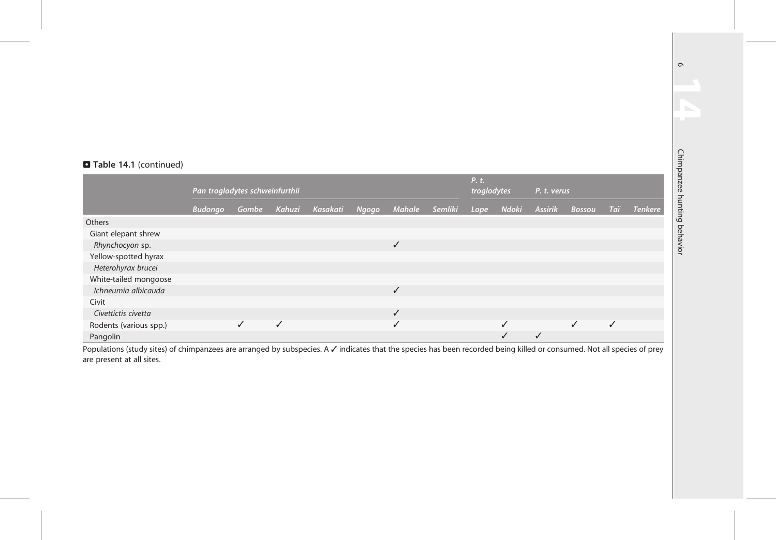$\circ$ 

#### **D** Table 14.1 (continued)

|                        | Pan troglodytes schweinfurthii |       |              | P. t.<br>troglodytes |       | P. t. verus   |         |      |              |                |               |                          |                |
|------------------------|--------------------------------|-------|--------------|----------------------|-------|---------------|---------|------|--------------|----------------|---------------|--------------------------|----------------|
|                        | <b>Budongo</b>                 | Gombe | Kahuzi       | Kasakati             | Ngogo | <b>Mahale</b> | Semliki | Lope | <b>Ndoki</b> | <b>Assirik</b> | <b>Bossou</b> | Taï                      | <b>Tenkere</b> |
| Others                 |                                |       |              |                      |       |               |         |      |              |                |               |                          |                |
| Giant elepant shrew    |                                |       |              |                      |       |               |         |      |              |                |               |                          |                |
| Rhynchocyon sp.        |                                |       |              |                      |       | ✓             |         |      |              |                |               |                          |                |
| Yellow-spotted hyrax   |                                |       |              |                      |       |               |         |      |              |                |               |                          |                |
| Heterohyrax brucei     |                                |       |              |                      |       |               |         |      |              |                |               |                          |                |
| White-tailed mongoose  |                                |       |              |                      |       |               |         |      |              |                |               |                          |                |
| Ichneumia albicauda    |                                |       |              |                      |       | ℐ             |         |      |              |                |               |                          |                |
| Civit                  |                                |       |              |                      |       |               |         |      |              |                |               |                          |                |
| Civettictis civetta    |                                |       |              |                      |       | ✓             |         |      |              |                |               |                          |                |
| Rodents (various spp.) |                                |       | $\checkmark$ |                      |       |               |         |      |              |                | $\checkmark$  | $\overline{\mathcal{L}}$ |                |
| Pangolin               |                                |       |              |                      |       |               |         |      |              |                |               |                          |                |

Populations (study sites) of chimpanzees are arranged by subspecies. A  $\checkmark$  indicates that the species has been recorded being killed or consumed. Not all species of prey are present at all sites.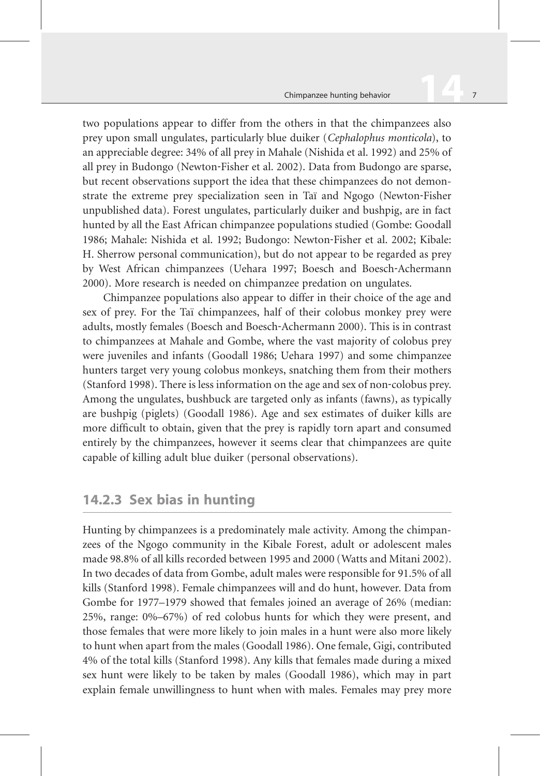two populations appear to differ from the others in that the chimpanzees also prey upon small ungulates, particularly blue duiker (Cephalophus monticola), to an appreciable degree: 34% of all prey in Mahale (Nishida et al. 1992) and 25% of all prey in Budongo (Newton‐Fisher et al. 2002). Data from Budongo are sparse, but recent observations support the idea that these chimpanzees do not demonstrate the extreme prey specialization seen in Taı¨ and Ngogo (Newton‐Fisher unpublished data). Forest ungulates, particularly duiker and bushpig, are in fact hunted by all the East African chimpanzee populations studied (Gombe: Goodall 1986; Mahale: Nishida et al. 1992; Budongo: Newton‐Fisher et al. 2002; Kibale: H. Sherrow personal communication), but do not appear to be regarded as prey by West African chimpanzees (Uehara 1997; Boesch and Boesch‐Achermann 2000). More research is needed on chimpanzee predation on ungulates.

Chimpanzee populations also appear to differ in their choice of the age and sex of prey. For the Tai chimpanzees, half of their colobus monkey prey were adults, mostly females (Boesch and Boesch‐Achermann 2000). This is in contrast to chimpanzees at Mahale and Gombe, where the vast majority of colobus prey were juveniles and infants (Goodall 1986; Uehara 1997) and some chimpanzee hunters target very young colobus monkeys, snatching them from their mothers (Stanford 1998). There is less information on the age and sex of non‐colobus prey. Among the ungulates, bushbuck are targeted only as infants (fawns), as typically are bushpig (piglets) (Goodall 1986). Age and sex estimates of duiker kills are more difficult to obtain, given that the prey is rapidly torn apart and consumed entirely by the chimpanzees, however it seems clear that chimpanzees are quite capable of killing adult blue duiker (personal observations).

### 14.2.3 Sex bias in hunting

Hunting by chimpanzees is a predominately male activity. Among the chimpanzees of the Ngogo community in the Kibale Forest, adult or adolescent males made 98.8% of all kills recorded between 1995 and 2000 (Watts and Mitani 2002). In two decades of data from Gombe, adult males were responsible for 91.5% of all kills (Stanford 1998). Female chimpanzees will and do hunt, however. Data from Gombe for 1977–1979 showed that females joined an average of 26% (median: 25%, range: 0%–67%) of red colobus hunts for which they were present, and those females that were more likely to join males in a hunt were also more likely to hunt when apart from the males (Goodall 1986). One female, Gigi, contributed 4% of the total kills (Stanford 1998). Any kills that females made during a mixed sex hunt were likely to be taken by males (Goodall 1986), which may in part explain female unwillingness to hunt when with males. Females may prey more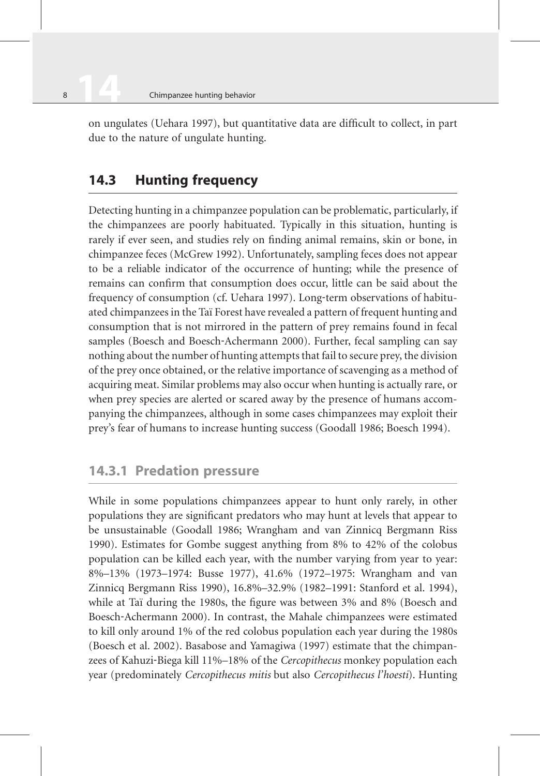on ungulates (Uehara 1997), but quantitative data are difficult to collect, in part due to the nature of ungulate hunting.

### 14.3 Hunting frequency

Detecting hunting in a chimpanzee population can be problematic, particularly, if the chimpanzees are poorly habituated. Typically in this situation, hunting is rarely if ever seen, and studies rely on finding animal remains, skin or bone, in chimpanzee feces (McGrew 1992). Unfortunately, sampling feces does not appear to be a reliable indicator of the occurrence of hunting; while the presence of remains can confirm that consumption does occur, little can be said about the frequency of consumption (cf. Uehara 1997). Long-term observations of habituated chimpanzees in the Taı¨ Forest have revealed a pattern of frequent hunting and consumption that is not mirrored in the pattern of prey remains found in fecal samples (Boesch and Boesch-Achermann 2000). Further, fecal sampling can say nothing about the number of hunting attempts that fail to secure prey, the division of the prey once obtained, or the relative importance of scavenging as a method of acquiring meat. Similar problems may also occur when hunting is actually rare, or when prey species are alerted or scared away by the presence of humans accompanying the chimpanzees, although in some cases chimpanzees may exploit their prey's fear of humans to increase hunting success (Goodall 1986; Boesch 1994).

### 14.3.1 Predation pressure

While in some populations chimpanzees appear to hunt only rarely, in other populations they are significant predators who may hunt at levels that appear to be unsustainable (Goodall 1986; Wrangham and van Zinnicq Bergmann Riss 1990). Estimates for Gombe suggest anything from 8% to 42% of the colobus population can be killed each year, with the number varying from year to year: 8%–13% (1973–1974: Busse 1977), 41.6% (1972–1975: Wrangham and van Zinnicq Bergmann Riss 1990), 16.8%–32.9% (1982–1991: Stanford et al. 1994), while at Tai during the 1980s, the figure was between 3% and 8% (Boesch and Boesch‐Achermann 2000). In contrast, the Mahale chimpanzees were estimated to kill only around 1% of the red colobus population each year during the 1980s (Boesch et al. 2002). Basabose and Yamagiwa (1997) estimate that the chimpanzees of Kahuzi-Biega kill 11%–18% of the Cercopithecus monkey population each year (predominately Cercopithecus mitis but also Cercopithecus l'hoesti). Hunting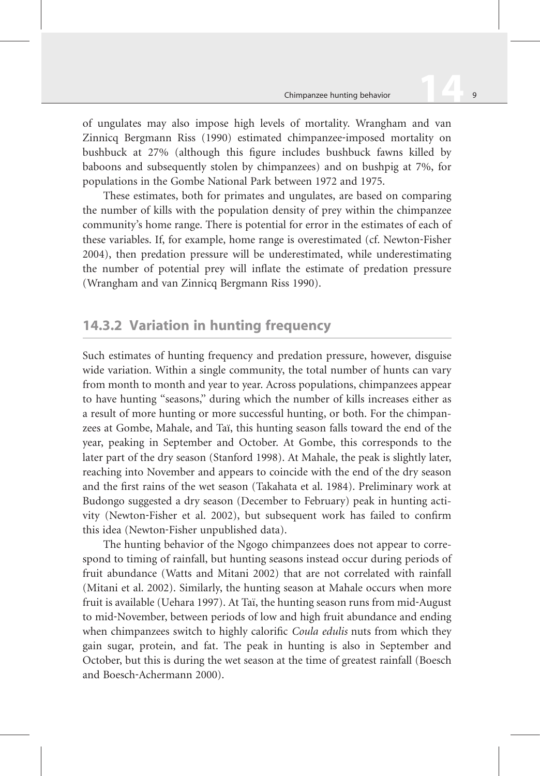of ungulates may also impose high levels of mortality. Wrangham and van Zinnicq Bergmann Riss (1990) estimated chimpanzee‐imposed mortality on bushbuck at 27% (although this figure includes bushbuck fawns killed by baboons and subsequently stolen by chimpanzees) and on bushpig at 7%, for populations in the Gombe National Park between 1972 and 1975.

These estimates, both for primates and ungulates, are based on comparing the number of kills with the population density of prey within the chimpanzee community's home range. There is potential for error in the estimates of each of these variables. If, for example, home range is overestimated (cf. Newton‐Fisher 2004), then predation pressure will be underestimated, while underestimating the number of potential prey will inflate the estimate of predation pressure (Wrangham and van Zinnicq Bergmann Riss 1990).

### 14.3.2 Variation in hunting frequency

Such estimates of hunting frequency and predation pressure, however, disguise wide variation. Within a single community, the total number of hunts can vary from month to month and year to year. Across populations, chimpanzees appear to have hunting ''seasons,'' during which the number of kills increases either as a result of more hunting or more successful hunting, or both. For the chimpanzees at Gombe, Mahale, and Taï, this hunting season falls toward the end of the year, peaking in September and October. At Gombe, this corresponds to the later part of the dry season (Stanford 1998). At Mahale, the peak is slightly later, reaching into November and appears to coincide with the end of the dry season and the first rains of the wet season (Takahata et al. 1984). Preliminary work at Budongo suggested a dry season (December to February) peak in hunting activity (Newton‐Fisher et al. 2002), but subsequent work has failed to confirm this idea (Newton‐Fisher unpublished data).

The hunting behavior of the Ngogo chimpanzees does not appear to correspond to timing of rainfall, but hunting seasons instead occur during periods of fruit abundance (Watts and Mitani 2002) that are not correlated with rainfall (Mitani et al. 2002). Similarly, the hunting season at Mahale occurs when more fruit is available (Uehara 1997). At Taï, the hunting season runs from mid-August to mid‐November, between periods of low and high fruit abundance and ending when chimpanzees switch to highly calorific *Coula edulis* nuts from which they gain sugar, protein, and fat. The peak in hunting is also in September and October, but this is during the wet season at the time of greatest rainfall (Boesch and Boesch‐Achermann 2000).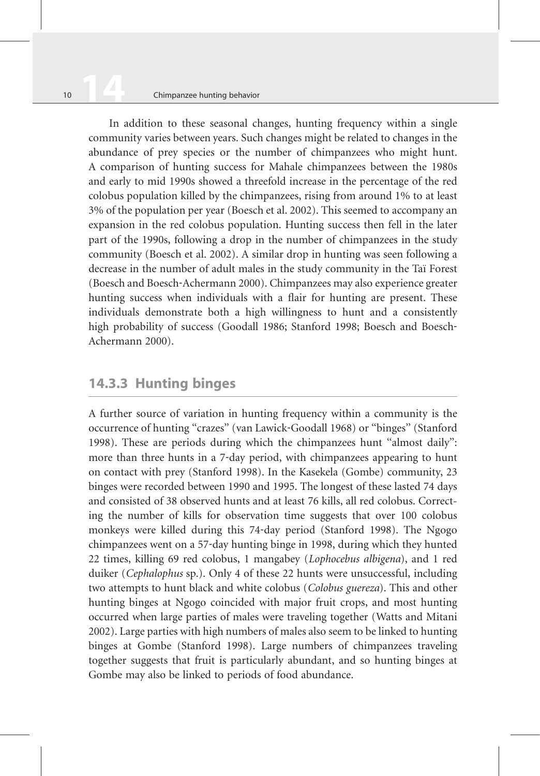In addition to these seasonal changes, hunting frequency within a single community varies between years. Such changes might be related to changes in the abundance of prey species or the number of chimpanzees who might hunt. A comparison of hunting success for Mahale chimpanzees between the 1980s and early to mid 1990s showed a threefold increase in the percentage of the red colobus population killed by the chimpanzees, rising from around 1% to at least 3% of the population per year (Boesch et al. 2002). This seemed to accompany an expansion in the red colobus population. Hunting success then fell in the later part of the 1990s, following a drop in the number of chimpanzees in the study community (Boesch et al. 2002). A similar drop in hunting was seen following a decrease in the number of adult males in the study community in the Taï Forest (Boesch and Boesch‐Achermann 2000). Chimpanzees may also experience greater hunting success when individuals with a flair for hunting are present. These individuals demonstrate both a high willingness to hunt and a consistently high probability of success (Goodall 1986; Stanford 1998; Boesch and Boesch-Achermann 2000).

### 14.3.3 Hunting binges

A further source of variation in hunting frequency within a community is the occurrence of hunting "crazes" (van Lawick-Goodall 1968) or "binges" (Stanford 1998). These are periods during which the chimpanzees hunt ''almost daily'': more than three hunts in a 7‐day period, with chimpanzees appearing to hunt on contact with prey (Stanford 1998). In the Kasekela (Gombe) community, 23 binges were recorded between 1990 and 1995. The longest of these lasted 74 days and consisted of 38 observed hunts and at least 76 kills, all red colobus. Correcting the number of kills for observation time suggests that over 100 colobus monkeys were killed during this 74‐day period (Stanford 1998). The Ngogo chimpanzees went on a 57‐day hunting binge in 1998, during which they hunted 22 times, killing 69 red colobus, 1 mangabey (Lophocebus albigena), and 1 red duiker (Cephalophus sp.). Only 4 of these 22 hunts were unsuccessful, including two attempts to hunt black and white colobus (Colobus guereza). This and other hunting binges at Ngogo coincided with major fruit crops, and most hunting occurred when large parties of males were traveling together (Watts and Mitani 2002). Large parties with high numbers of males also seem to be linked to hunting binges at Gombe (Stanford 1998). Large numbers of chimpanzees traveling together suggests that fruit is particularly abundant, and so hunting binges at Gombe may also be linked to periods of food abundance.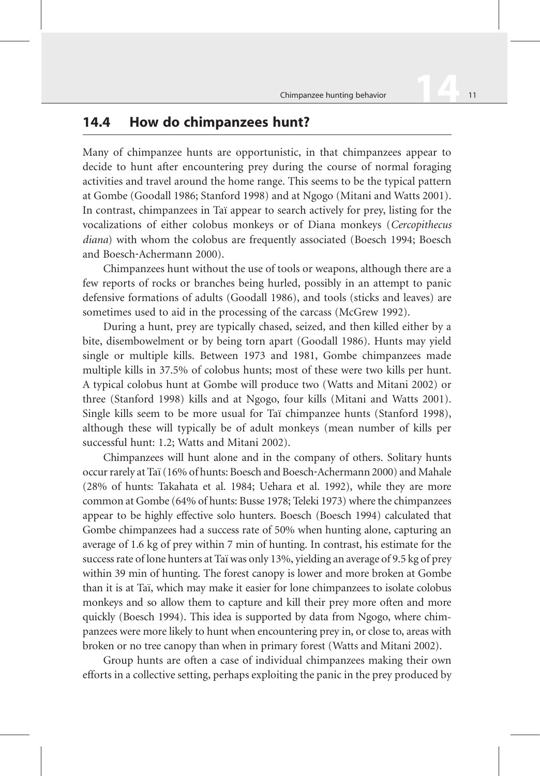#### 14.4 How do chimpanzees hunt?

Many of chimpanzee hunts are opportunistic, in that chimpanzees appear to decide to hunt after encountering prey during the course of normal foraging activities and travel around the home range. This seems to be the typical pattern at Gombe (Goodall 1986; Stanford 1998) and at Ngogo (Mitani and Watts 2001). In contrast, chimpanzees in Taï appear to search actively for prey, listing for the vocalizations of either colobus monkeys or of Diana monkeys (Cercopithecus diana) with whom the colobus are frequently associated (Boesch 1994; Boesch and Boesch‐Achermann 2000).

Chimpanzees hunt without the use of tools or weapons, although there are a few reports of rocks or branches being hurled, possibly in an attempt to panic defensive formations of adults (Goodall 1986), and tools (sticks and leaves) are sometimes used to aid in the processing of the carcass (McGrew 1992).

During a hunt, prey are typically chased, seized, and then killed either by a bite, disembowelment or by being torn apart (Goodall 1986). Hunts may yield single or multiple kills. Between 1973 and 1981, Gombe chimpanzees made multiple kills in 37.5% of colobus hunts; most of these were two kills per hunt. A typical colobus hunt at Gombe will produce two (Watts and Mitani 2002) or three (Stanford 1998) kills and at Ngogo, four kills (Mitani and Watts 2001). Single kills seem to be more usual for Taï chimpanzee hunts (Stanford 1998), although these will typically be of adult monkeys (mean number of kills per successful hunt: 1.2; Watts and Mitani 2002).

Chimpanzees will hunt alone and in the company of others. Solitary hunts occur rarely at Taï (16% of hunts: Boesch and Boesch-Achermann 2000) and Mahale (28% of hunts: Takahata et al. 1984; Uehara et al. 1992), while they are more common at Gombe (64% of hunts: Busse 1978; Teleki 1973) where the chimpanzees appear to be highly effective solo hunters. Boesch (Boesch 1994) calculated that Gombe chimpanzees had a success rate of 50% when hunting alone, capturing an average of 1.6 kg of prey within 7 min of hunting. In contrast, his estimate for the success rate of lone hunters at Taï was only 13%, yielding an average of 9.5 kg of prey within 39 min of hunting. The forest canopy is lower and more broken at Gombe than it is at Taï, which may make it easier for lone chimpanzees to isolate colobus monkeys and so allow them to capture and kill their prey more often and more quickly (Boesch 1994). This idea is supported by data from Ngogo, where chimpanzees were more likely to hunt when encountering prey in, or close to, areas with broken or no tree canopy than when in primary forest (Watts and Mitani 2002).

Group hunts are often a case of individual chimpanzees making their own efforts in a collective setting, perhaps exploiting the panic in the prey produced by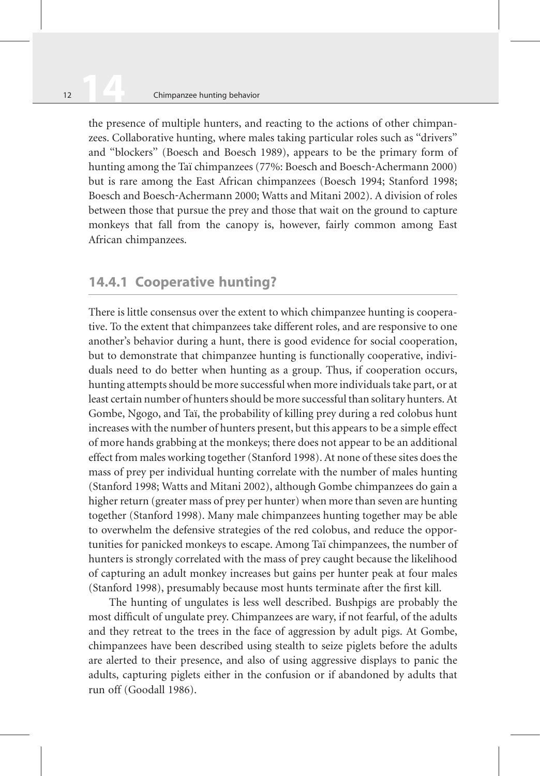the presence of multiple hunters, and reacting to the actions of other chimpanzees. Collaborative hunting, where males taking particular roles such as ''drivers'' and ''blockers'' (Boesch and Boesch 1989), appears to be the primary form of hunting among the Taï chimpanzees (77%: Boesch and Boesch-Achermann 2000) but is rare among the East African chimpanzees (Boesch 1994; Stanford 1998; Boesch and Boesch‐Achermann 2000; Watts and Mitani 2002). A division of roles between those that pursue the prey and those that wait on the ground to capture monkeys that fall from the canopy is, however, fairly common among East African chimpanzees.

### 14.4.1 Cooperative hunting?

There is little consensus over the extent to which chimpanzee hunting is cooperative. To the extent that chimpanzees take different roles, and are responsive to one another's behavior during a hunt, there is good evidence for social cooperation, but to demonstrate that chimpanzee hunting is functionally cooperative, individuals need to do better when hunting as a group. Thus, if cooperation occurs, hunting attempts should be more successful when more individuals take part, or at least certain number of hunters should be more successful than solitary hunters. At Gombe, Ngogo, and Tai, the probability of killing prey during a red colobus hunt increases with the number of hunters present, but this appears to be a simple effect of more hands grabbing at the monkeys; there does not appear to be an additional effect from males working together (Stanford 1998). At none of these sites does the mass of prey per individual hunting correlate with the number of males hunting (Stanford 1998; Watts and Mitani 2002), although Gombe chimpanzees do gain a higher return (greater mass of prey per hunter) when more than seven are hunting together (Stanford 1998). Many male chimpanzees hunting together may be able to overwhelm the defensive strategies of the red colobus, and reduce the opportunities for panicked monkeys to escape. Among Taï chimpanzees, the number of hunters is strongly correlated with the mass of prey caught because the likelihood of capturing an adult monkey increases but gains per hunter peak at four males (Stanford 1998), presumably because most hunts terminate after the first kill.

The hunting of ungulates is less well described. Bushpigs are probably the most difficult of ungulate prey. Chimpanzees are wary, if not fearful, of the adults and they retreat to the trees in the face of aggression by adult pigs. At Gombe, chimpanzees have been described using stealth to seize piglets before the adults are alerted to their presence, and also of using aggressive displays to panic the adults, capturing piglets either in the confusion or if abandoned by adults that run off (Goodall 1986).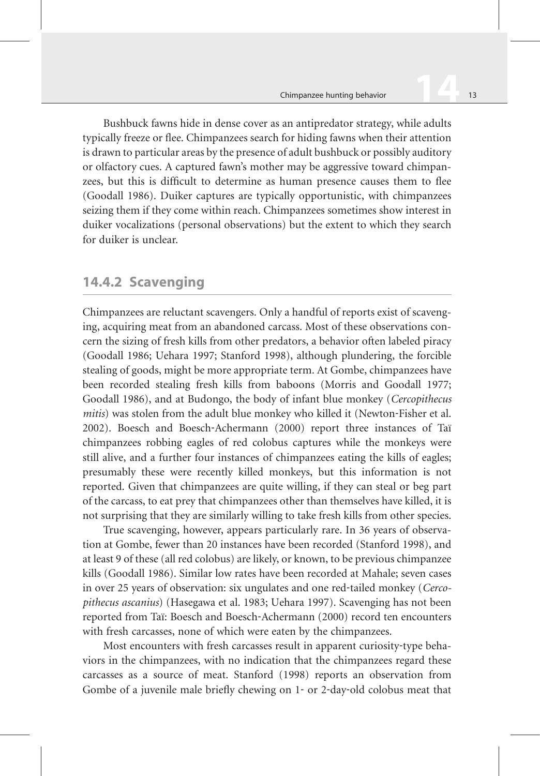Bushbuck fawns hide in dense cover as an antipredator strategy, while adults typically freeze or flee. Chimpanzees search for hiding fawns when their attention is drawn to particular areas by the presence of adult bushbuck or possibly auditory or olfactory cues. A captured fawn's mother may be aggressive toward chimpanzees, but this is difficult to determine as human presence causes them to flee (Goodall 1986). Duiker captures are typically opportunistic, with chimpanzees seizing them if they come within reach. Chimpanzees sometimes show interest in duiker vocalizations (personal observations) but the extent to which they search for duiker is unclear.

### 14.4.2 Scavenging

Chimpanzees are reluctant scavengers. Only a handful of reports exist of scavenging, acquiring meat from an abandoned carcass. Most of these observations concern the sizing of fresh kills from other predators, a behavior often labeled piracy (Goodall 1986; Uehara 1997; Stanford 1998), although plundering, the forcible stealing of goods, might be more appropriate term. At Gombe, chimpanzees have been recorded stealing fresh kills from baboons (Morris and Goodall 1977; Goodall 1986), and at Budongo, the body of infant blue monkey (Cercopithecus mitis) was stolen from the adult blue monkey who killed it (Newton-Fisher et al. 2002). Boesch and Boesch-Achermann (2000) report three instances of Taï chimpanzees robbing eagles of red colobus captures while the monkeys were still alive, and a further four instances of chimpanzees eating the kills of eagles; presumably these were recently killed monkeys, but this information is not reported. Given that chimpanzees are quite willing, if they can steal or beg part of the carcass, to eat prey that chimpanzees other than themselves have killed, it is not surprising that they are similarly willing to take fresh kills from other species.

True scavenging, however, appears particularly rare. In 36 years of observation at Gombe, fewer than 20 instances have been recorded (Stanford 1998), and at least 9 of these (all red colobus) are likely, or known, to be previous chimpanzee kills (Goodall 1986). Similar low rates have been recorded at Mahale; seven cases in over 25 years of observation: six ungulates and one red-tailed monkey (Cercopithecus ascanius) (Hasegawa et al. 1983; Uehara 1997). Scavenging has not been reported from Taï: Boesch and Boesch-Achermann (2000) record ten encounters with fresh carcasses, none of which were eaten by the chimpanzees.

Most encounters with fresh carcasses result in apparent curiosity-type behaviors in the chimpanzees, with no indication that the chimpanzees regard these carcasses as a source of meat. Stanford (1998) reports an observation from Gombe of a juvenile male briefly chewing on 1‐ or 2‐day‐old colobus meat that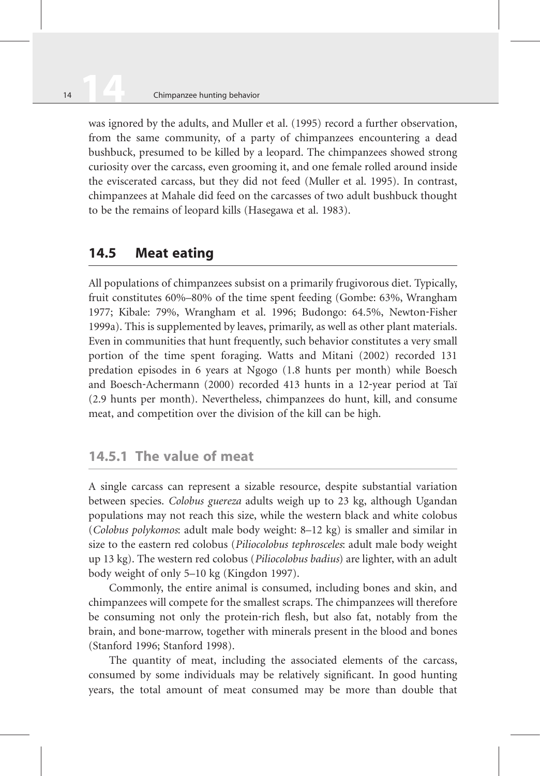was ignored by the adults, and Muller et al. (1995) record a further observation, from the same community, of a party of chimpanzees encountering a dead bushbuck, presumed to be killed by a leopard. The chimpanzees showed strong curiosity over the carcass, even grooming it, and one female rolled around inside the eviscerated carcass, but they did not feed (Muller et al. 1995). In contrast, chimpanzees at Mahale did feed on the carcasses of two adult bushbuck thought to be the remains of leopard kills (Hasegawa et al. 1983).

### 14.5 Meat eating

All populations of chimpanzees subsist on a primarily frugivorous diet. Typically, fruit constitutes 60%–80% of the time spent feeding (Gombe: 63%, Wrangham 1977; Kibale: 79%, Wrangham et al. 1996; Budongo: 64.5%, Newton‐Fisher 1999a). This is supplemented by leaves, primarily, as well as other plant materials. Even in communities that hunt frequently, such behavior constitutes a very small portion of the time spent foraging. Watts and Mitani (2002) recorded 131 predation episodes in 6 years at Ngogo (1.8 hunts per month) while Boesch and Boesch‐Achermann (2000) recorded 413 hunts in a 12‐year period at Taı¨ (2.9 hunts per month). Nevertheless, chimpanzees do hunt, kill, and consume meat, and competition over the division of the kill can be high.

### 14.5.1 The value of meat

A single carcass can represent a sizable resource, despite substantial variation between species. Colobus guereza adults weigh up to 23 kg, although Ugandan populations may not reach this size, while the western black and white colobus (Colobus polykomos: adult male body weight: 8–12 kg) is smaller and similar in size to the eastern red colobus (Piliocolobus tephrosceles: adult male body weight up 13 kg). The western red colobus (Piliocolobus badius) are lighter, with an adult body weight of only 5–10 kg (Kingdon 1997).

Commonly, the entire animal is consumed, including bones and skin, and chimpanzees will compete for the smallest scraps. The chimpanzees will therefore be consuming not only the protein‐rich flesh, but also fat, notably from the brain, and bone‐marrow, together with minerals present in the blood and bones (Stanford 1996; Stanford 1998).

The quantity of meat, including the associated elements of the carcass, consumed by some individuals may be relatively significant. In good hunting years, the total amount of meat consumed may be more than double that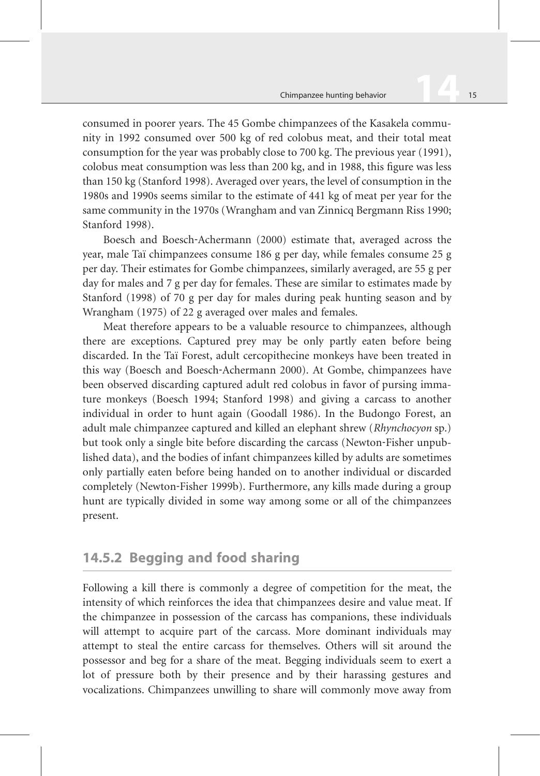consumed in poorer years. The 45 Gombe chimpanzees of the Kasakela community in 1992 consumed over 500 kg of red colobus meat, and their total meat consumption for the year was probably close to 700 kg. The previous year (1991), colobus meat consumption was less than 200 kg, and in 1988, this figure was less than 150 kg (Stanford 1998). Averaged over years, the level of consumption in the 1980s and 1990s seems similar to the estimate of 441 kg of meat per year for the same community in the 1970s (Wrangham and van Zinnicq Bergmann Riss 1990; Stanford 1998).

Boesch and Boesch‐Achermann (2000) estimate that, averaged across the year, male Taı¨ chimpanzees consume 186 g per day, while females consume 25 g per day. Their estimates for Gombe chimpanzees, similarly averaged, are 55 g per day for males and 7 g per day for females. These are similar to estimates made by Stanford (1998) of 70 g per day for males during peak hunting season and by Wrangham (1975) of 22 g averaged over males and females.

Meat therefore appears to be a valuable resource to chimpanzees, although there are exceptions. Captured prey may be only partly eaten before being discarded. In the Taı¨ Forest, adult cercopithecine monkeys have been treated in this way (Boesch and Boesch‐Achermann 2000). At Gombe, chimpanzees have been observed discarding captured adult red colobus in favor of pursing immature monkeys (Boesch 1994; Stanford 1998) and giving a carcass to another individual in order to hunt again (Goodall 1986). In the Budongo Forest, an adult male chimpanzee captured and killed an elephant shrew (Rhynchocyon sp.) but took only a single bite before discarding the carcass (Newton‐Fisher unpublished data), and the bodies of infant chimpanzees killed by adults are sometimes only partially eaten before being handed on to another individual or discarded completely (Newton‐Fisher 1999b). Furthermore, any kills made during a group hunt are typically divided in some way among some or all of the chimpanzees present.

### 14.5.2 Begging and food sharing

Following a kill there is commonly a degree of competition for the meat, the intensity of which reinforces the idea that chimpanzees desire and value meat. If the chimpanzee in possession of the carcass has companions, these individuals will attempt to acquire part of the carcass. More dominant individuals may attempt to steal the entire carcass for themselves. Others will sit around the possessor and beg for a share of the meat. Begging individuals seem to exert a lot of pressure both by their presence and by their harassing gestures and vocalizations. Chimpanzees unwilling to share will commonly move away from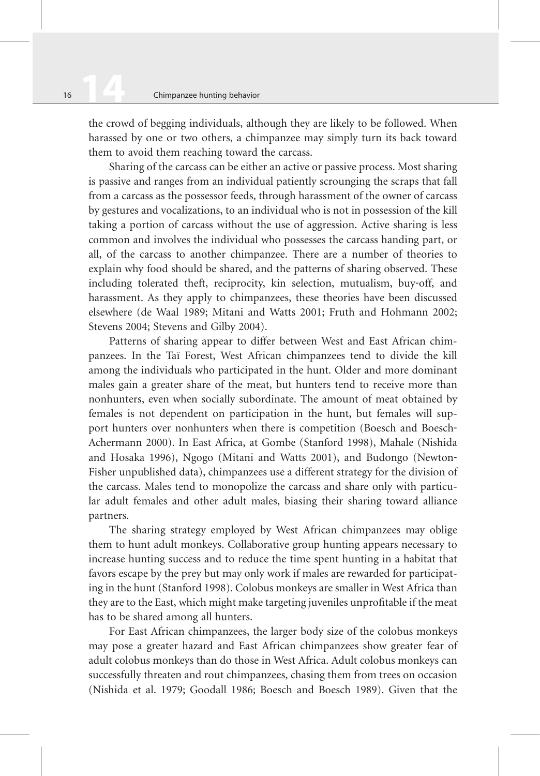the crowd of begging individuals, although they are likely to be followed. When harassed by one or two others, a chimpanzee may simply turn its back toward them to avoid them reaching toward the carcass.

Sharing of the carcass can be either an active or passive process. Most sharing is passive and ranges from an individual patiently scrounging the scraps that fall from a carcass as the possessor feeds, through harassment of the owner of carcass by gestures and vocalizations, to an individual who is not in possession of the kill taking a portion of carcass without the use of aggression. Active sharing is less common and involves the individual who possesses the carcass handing part, or all, of the carcass to another chimpanzee. There are a number of theories to explain why food should be shared, and the patterns of sharing observed. These including tolerated theft, reciprocity, kin selection, mutualism, buy‐off, and harassment. As they apply to chimpanzees, these theories have been discussed elsewhere (de Waal 1989; Mitani and Watts 2001; Fruth and Hohmann 2002; Stevens 2004; Stevens and Gilby 2004).

Patterns of sharing appear to differ between West and East African chimpanzees. In the Taı¨ Forest, West African chimpanzees tend to divide the kill among the individuals who participated in the hunt. Older and more dominant males gain a greater share of the meat, but hunters tend to receive more than nonhunters, even when socially subordinate. The amount of meat obtained by females is not dependent on participation in the hunt, but females will support hunters over nonhunters when there is competition (Boesch and Boesch-Achermann 2000). In East Africa, at Gombe (Stanford 1998), Mahale (Nishida and Hosaka 1996), Ngogo (Mitani and Watts 2001), and Budongo (Newton‐ Fisher unpublished data), chimpanzees use a different strategy for the division of the carcass. Males tend to monopolize the carcass and share only with particular adult females and other adult males, biasing their sharing toward alliance partners.

The sharing strategy employed by West African chimpanzees may oblige them to hunt adult monkeys. Collaborative group hunting appears necessary to increase hunting success and to reduce the time spent hunting in a habitat that favors escape by the prey but may only work if males are rewarded for participating in the hunt (Stanford 1998). Colobus monkeys are smaller in West Africa than they are to the East, which might make targeting juveniles unprofitable if the meat has to be shared among all hunters.

For East African chimpanzees, the larger body size of the colobus monkeys may pose a greater hazard and East African chimpanzees show greater fear of adult colobus monkeys than do those in West Africa. Adult colobus monkeys can successfully threaten and rout chimpanzees, chasing them from trees on occasion (Nishida et al. 1979; Goodall 1986; Boesch and Boesch 1989). Given that the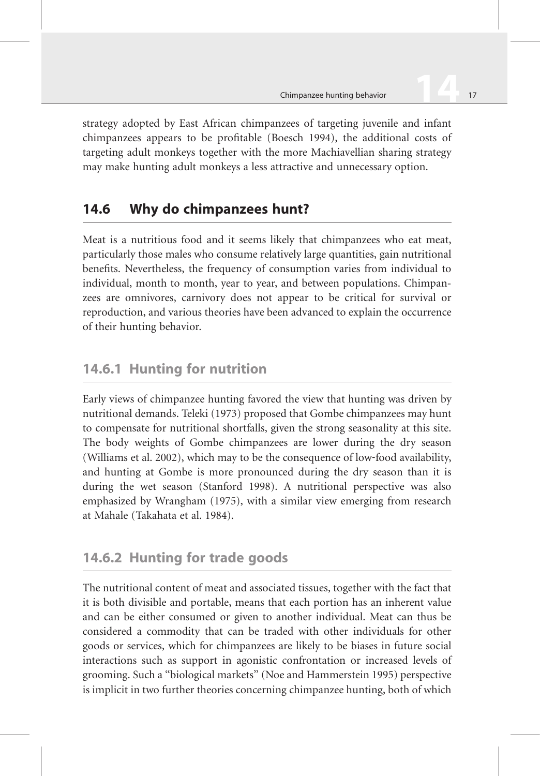strategy adopted by East African chimpanzees of targeting juvenile and infant chimpanzees appears to be profitable (Boesch 1994), the additional costs of targeting adult monkeys together with the more Machiavellian sharing strategy may make hunting adult monkeys a less attractive and unnecessary option.

### 14.6 Why do chimpanzees hunt?

Meat is a nutritious food and it seems likely that chimpanzees who eat meat, particularly those males who consume relatively large quantities, gain nutritional benefits. Nevertheless, the frequency of consumption varies from individual to individual, month to month, year to year, and between populations. Chimpanzees are omnivores, carnivory does not appear to be critical for survival or reproduction, and various theories have been advanced to explain the occurrence of their hunting behavior.

### 14.6.1 Hunting for nutrition

Early views of chimpanzee hunting favored the view that hunting was driven by nutritional demands. Teleki (1973) proposed that Gombe chimpanzees may hunt to compensate for nutritional shortfalls, given the strong seasonality at this site. The body weights of Gombe chimpanzees are lower during the dry season (Williams et al. 2002), which may to be the consequence of low‐food availability, and hunting at Gombe is more pronounced during the dry season than it is during the wet season (Stanford 1998). A nutritional perspective was also emphasized by Wrangham (1975), with a similar view emerging from research at Mahale (Takahata et al. 1984).

### 14.6.2 Hunting for trade goods

The nutritional content of meat and associated tissues, together with the fact that it is both divisible and portable, means that each portion has an inherent value and can be either consumed or given to another individual. Meat can thus be considered a commodity that can be traded with other individuals for other goods or services, which for chimpanzees are likely to be biases in future social interactions such as support in agonistic confrontation or increased levels of grooming. Such a ''biological markets'' (Noe and Hammerstein 1995) perspective is implicit in two further theories concerning chimpanzee hunting, both of which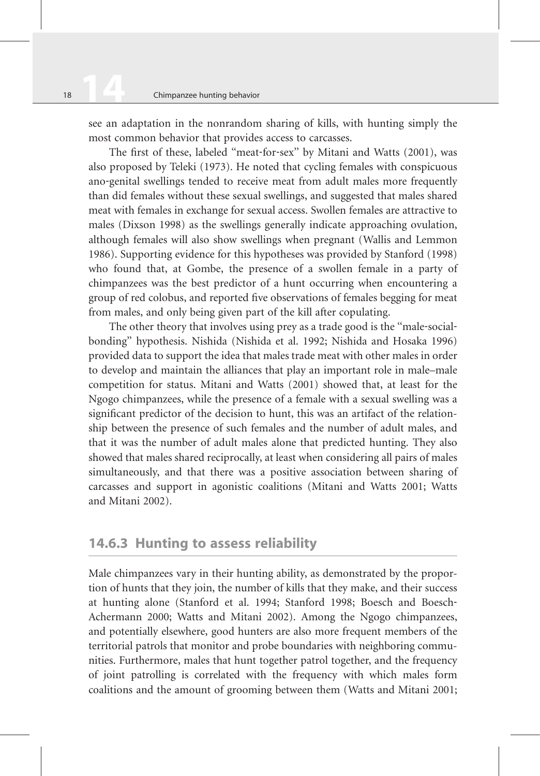see an adaptation in the nonrandom sharing of kills, with hunting simply the most common behavior that provides access to carcasses.

The first of these, labeled "meat-for-sex" by Mitani and Watts (2001), was also proposed by Teleki (1973). He noted that cycling females with conspicuous ano‐genital swellings tended to receive meat from adult males more frequently than did females without these sexual swellings, and suggested that males shared meat with females in exchange for sexual access. Swollen females are attractive to males (Dixson 1998) as the swellings generally indicate approaching ovulation, although females will also show swellings when pregnant (Wallis and Lemmon 1986). Supporting evidence for this hypotheses was provided by Stanford (1998) who found that, at Gombe, the presence of a swollen female in a party of chimpanzees was the best predictor of a hunt occurring when encountering a group of red colobus, and reported five observations of females begging for meat from males, and only being given part of the kill after copulating.

The other theory that involves using prey as a trade good is the "male-socialbonding'' hypothesis. Nishida (Nishida et al. 1992; Nishida and Hosaka 1996) provided data to support the idea that males trade meat with other males in order to develop and maintain the alliances that play an important role in male–male competition for status. Mitani and Watts (2001) showed that, at least for the Ngogo chimpanzees, while the presence of a female with a sexual swelling was a significant predictor of the decision to hunt, this was an artifact of the relationship between the presence of such females and the number of adult males, and that it was the number of adult males alone that predicted hunting. They also showed that males shared reciprocally, at least when considering all pairs of males simultaneously, and that there was a positive association between sharing of carcasses and support in agonistic coalitions (Mitani and Watts 2001; Watts and Mitani 2002).

### 14.6.3 Hunting to assess reliability

Male chimpanzees vary in their hunting ability, as demonstrated by the proportion of hunts that they join, the number of kills that they make, and their success at hunting alone (Stanford et al. 1994; Stanford 1998; Boesch and Boesch-Achermann 2000; Watts and Mitani 2002). Among the Ngogo chimpanzees, and potentially elsewhere, good hunters are also more frequent members of the territorial patrols that monitor and probe boundaries with neighboring communities. Furthermore, males that hunt together patrol together, and the frequency of joint patrolling is correlated with the frequency with which males form coalitions and the amount of grooming between them (Watts and Mitani 2001;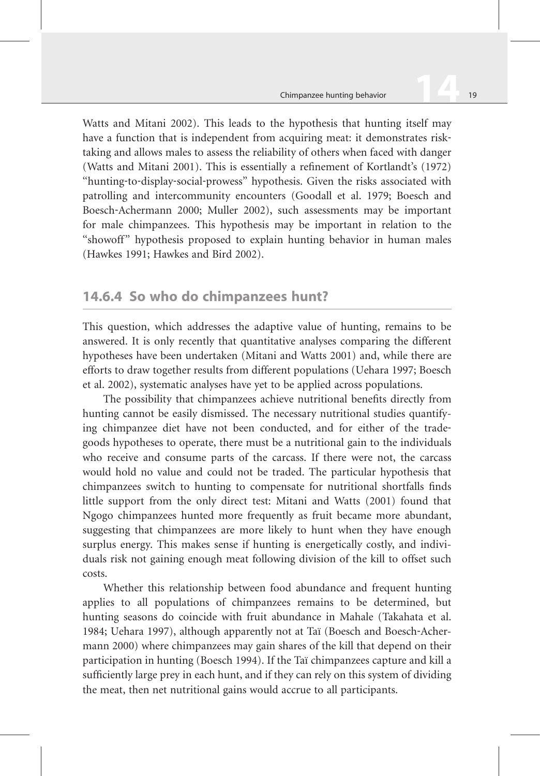Watts and Mitani 2002). This leads to the hypothesis that hunting itself may have a function that is independent from acquiring meat: it demonstrates risktaking and allows males to assess the reliability of others when faced with danger (Watts and Mitani 2001). This is essentially a refinement of Kortlandt's (1972) ''hunting‐to‐display‐social‐prowess'' hypothesis. Given the risks associated with patrolling and intercommunity encounters (Goodall et al. 1979; Boesch and Boesch‐Achermann 2000; Muller 2002), such assessments may be important for male chimpanzees. This hypothesis may be important in relation to the "showoff" hypothesis proposed to explain hunting behavior in human males (Hawkes 1991; Hawkes and Bird 2002).

### 14.6.4 So who do chimpanzees hunt?

This question, which addresses the adaptive value of hunting, remains to be answered. It is only recently that quantitative analyses comparing the different hypotheses have been undertaken (Mitani and Watts 2001) and, while there are efforts to draw together results from different populations (Uehara 1997; Boesch et al. 2002), systematic analyses have yet to be applied across populations.

The possibility that chimpanzees achieve nutritional benefits directly from hunting cannot be easily dismissed. The necessary nutritional studies quantifying chimpanzee diet have not been conducted, and for either of the tradegoods hypotheses to operate, there must be a nutritional gain to the individuals who receive and consume parts of the carcass. If there were not, the carcass would hold no value and could not be traded. The particular hypothesis that chimpanzees switch to hunting to compensate for nutritional shortfalls finds little support from the only direct test: Mitani and Watts (2001) found that Ngogo chimpanzees hunted more frequently as fruit became more abundant, suggesting that chimpanzees are more likely to hunt when they have enough surplus energy. This makes sense if hunting is energetically costly, and individuals risk not gaining enough meat following division of the kill to offset such costs.

Whether this relationship between food abundance and frequent hunting applies to all populations of chimpanzees remains to be determined, but hunting seasons do coincide with fruit abundance in Mahale (Takahata et al. 1984; Uehara 1997), although apparently not at Taı¨ (Boesch and Boesch‐Achermann 2000) where chimpanzees may gain shares of the kill that depend on their participation in hunting (Boesch 1994). If the Taï chimpanzees capture and kill a sufficiently large prey in each hunt, and if they can rely on this system of dividing the meat, then net nutritional gains would accrue to all participants.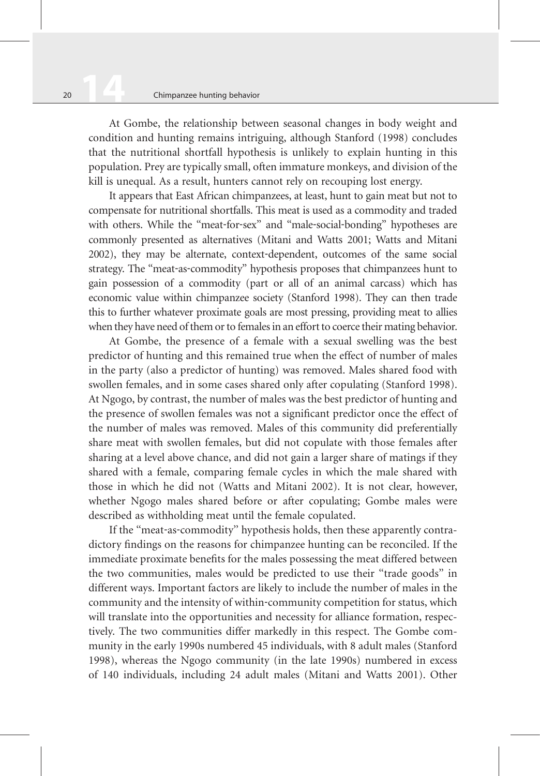At Gombe, the relationship between seasonal changes in body weight and condition and hunting remains intriguing, although Stanford (1998) concludes that the nutritional shortfall hypothesis is unlikely to explain hunting in this population. Prey are typically small, often immature monkeys, and division of the kill is unequal. As a result, hunters cannot rely on recouping lost energy.

It appears that East African chimpanzees, at least, hunt to gain meat but not to compensate for nutritional shortfalls. This meat is used as a commodity and traded with others. While the "meat-for-sex" and "male-social-bonding" hypotheses are commonly presented as alternatives (Mitani and Watts 2001; Watts and Mitani 2002), they may be alternate, context-dependent, outcomes of the same social strategy. The "meat-as-commodity" hypothesis proposes that chimpanzees hunt to gain possession of a commodity (part or all of an animal carcass) which has economic value within chimpanzee society (Stanford 1998). They can then trade this to further whatever proximate goals are most pressing, providing meat to allies when they have need of them or to females in an effort to coerce their mating behavior.

At Gombe, the presence of a female with a sexual swelling was the best predictor of hunting and this remained true when the effect of number of males in the party (also a predictor of hunting) was removed. Males shared food with swollen females, and in some cases shared only after copulating (Stanford 1998). At Ngogo, by contrast, the number of males was the best predictor of hunting and the presence of swollen females was not a significant predictor once the effect of the number of males was removed. Males of this community did preferentially share meat with swollen females, but did not copulate with those females after sharing at a level above chance, and did not gain a larger share of matings if they shared with a female, comparing female cycles in which the male shared with those in which he did not (Watts and Mitani 2002). It is not clear, however, whether Ngogo males shared before or after copulating; Gombe males were described as withholding meat until the female copulated.

If the "meat-as-commodity" hypothesis holds, then these apparently contradictory findings on the reasons for chimpanzee hunting can be reconciled. If the immediate proximate benefits for the males possessing the meat differed between the two communities, males would be predicted to use their ''trade goods'' in different ways. Important factors are likely to include the number of males in the community and the intensity of within‐community competition for status, which will translate into the opportunities and necessity for alliance formation, respectively. The two communities differ markedly in this respect. The Gombe community in the early 1990s numbered 45 individuals, with 8 adult males (Stanford 1998), whereas the Ngogo community (in the late 1990s) numbered in excess of 140 individuals, including 24 adult males (Mitani and Watts 2001). Other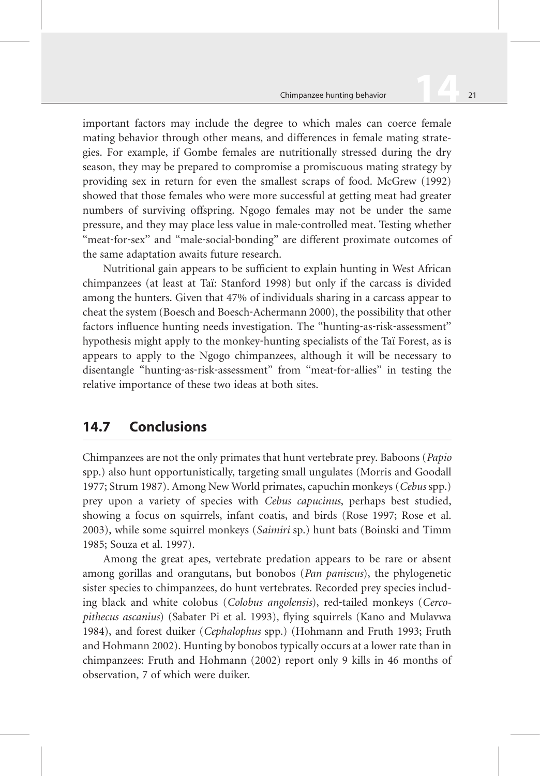Chimpanzee hunting behavior 14 14 21

important factors may include the degree to which males can coerce female mating behavior through other means, and differences in female mating strategies. For example, if Gombe females are nutritionally stressed during the dry season, they may be prepared to compromise a promiscuous mating strategy by providing sex in return for even the smallest scraps of food. McGrew (1992) showed that those females who were more successful at getting meat had greater numbers of surviving offspring. Ngogo females may not be under the same pressure, and they may place less value in male‐controlled meat. Testing whether "meat-for-sex" and "male-social-bonding" are different proximate outcomes of the same adaptation awaits future research.

Nutritional gain appears to be sufficient to explain hunting in West African chimpanzees (at least at Taï: Stanford 1998) but only if the carcass is divided among the hunters. Given that 47% of individuals sharing in a carcass appear to cheat the system (Boesch and Boesch‐Achermann 2000), the possibility that other factors influence hunting needs investigation. The "hunting-as-risk-assessment" hypothesis might apply to the monkey-hunting specialists of the Tai Forest, as is appears to apply to the Ngogo chimpanzees, although it will be necessary to disentangle ''hunting‐as‐risk‐assessment'' from ''meat‐for‐allies'' in testing the relative importance of these two ideas at both sites.

### 14.7 Conclusions

Chimpanzees are not the only primates that hunt vertebrate prey. Baboons (Papio spp.) also hunt opportunistically, targeting small ungulates (Morris and Goodall 1977; Strum 1987). Among New World primates, capuchin monkeys (Cebus spp.) prey upon a variety of species with Cebus capucinus, perhaps best studied, showing a focus on squirrels, infant coatis, and birds (Rose 1997; Rose et al. 2003), while some squirrel monkeys (Saimiri sp.) hunt bats (Boinski and Timm 1985; Souza et al. 1997).

Among the great apes, vertebrate predation appears to be rare or absent among gorillas and orangutans, but bonobos (Pan paniscus), the phylogenetic sister species to chimpanzees, do hunt vertebrates. Recorded prey species including black and white colobus (Colobus angolensis), red-tailed monkeys (Cercopithecus ascanius) (Sabater Pi et al. 1993), flying squirrels (Kano and Mulavwa 1984), and forest duiker (Cephalophus spp.) (Hohmann and Fruth 1993; Fruth and Hohmann 2002). Hunting by bonobos typically occurs at a lower rate than in chimpanzees: Fruth and Hohmann (2002) report only 9 kills in 46 months of observation, 7 of which were duiker.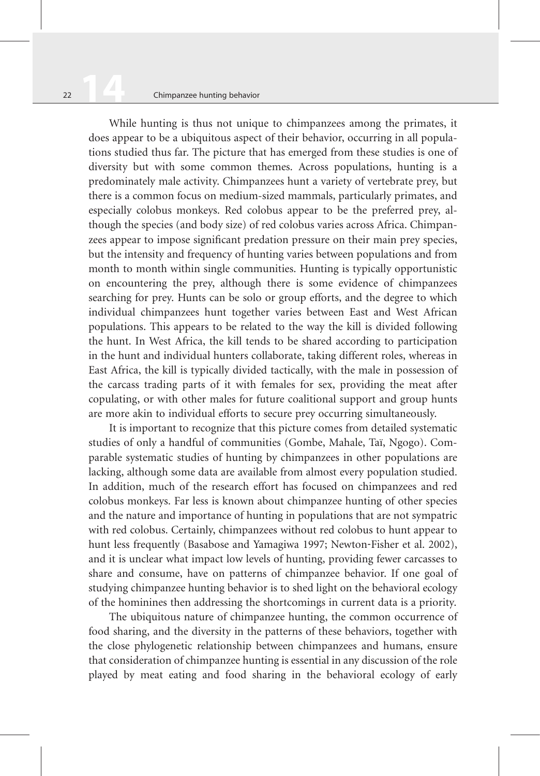While hunting is thus not unique to chimpanzees among the primates, it does appear to be a ubiquitous aspect of their behavior, occurring in all populations studied thus far. The picture that has emerged from these studies is one of diversity but with some common themes. Across populations, hunting is a predominately male activity. Chimpanzees hunt a variety of vertebrate prey, but there is a common focus on medium-sized mammals, particularly primates, and especially colobus monkeys. Red colobus appear to be the preferred prey, although the species (and body size) of red colobus varies across Africa. Chimpanzees appear to impose significant predation pressure on their main prey species, but the intensity and frequency of hunting varies between populations and from month to month within single communities. Hunting is typically opportunistic on encountering the prey, although there is some evidence of chimpanzees searching for prey. Hunts can be solo or group efforts, and the degree to which individual chimpanzees hunt together varies between East and West African populations. This appears to be related to the way the kill is divided following the hunt. In West Africa, the kill tends to be shared according to participation in the hunt and individual hunters collaborate, taking different roles, whereas in East Africa, the kill is typically divided tactically, with the male in possession of the carcass trading parts of it with females for sex, providing the meat after copulating, or with other males for future coalitional support and group hunts are more akin to individual efforts to secure prey occurring simultaneously.

It is important to recognize that this picture comes from detailed systematic studies of only a handful of communities (Gombe, Mahale, Taï, Ngogo). Comparable systematic studies of hunting by chimpanzees in other populations are lacking, although some data are available from almost every population studied. In addition, much of the research effort has focused on chimpanzees and red colobus monkeys. Far less is known about chimpanzee hunting of other species and the nature and importance of hunting in populations that are not sympatric with red colobus. Certainly, chimpanzees without red colobus to hunt appear to hunt less frequently (Basabose and Yamagiwa 1997; Newton‐Fisher et al. 2002), and it is unclear what impact low levels of hunting, providing fewer carcasses to share and consume, have on patterns of chimpanzee behavior. If one goal of studying chimpanzee hunting behavior is to shed light on the behavioral ecology of the hominines then addressing the shortcomings in current data is a priority.

The ubiquitous nature of chimpanzee hunting, the common occurrence of food sharing, and the diversity in the patterns of these behaviors, together with the close phylogenetic relationship between chimpanzees and humans, ensure that consideration of chimpanzee hunting is essential in any discussion of the role played by meat eating and food sharing in the behavioral ecology of early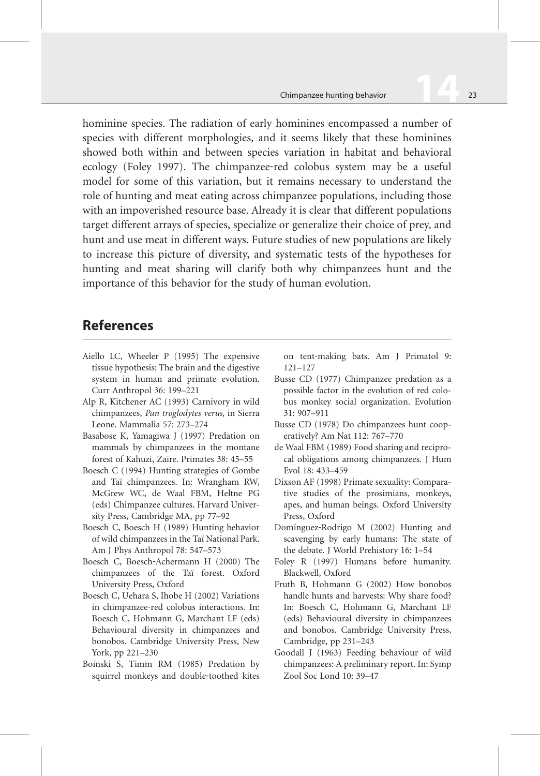hominine species. The radiation of early hominines encompassed a number of species with different morphologies, and it seems likely that these hominines showed both within and between species variation in habitat and behavioral ecology (Foley 1997). The chimpanzee-red colobus system may be a useful model for some of this variation, but it remains necessary to understand the role of hunting and meat eating across chimpanzee populations, including those with an impoverished resource base. Already it is clear that different populations target different arrays of species, specialize or generalize their choice of prey, and hunt and use meat in different ways. Future studies of new populations are likely to increase this picture of diversity, and systematic tests of the hypotheses for hunting and meat sharing will clarify both why chimpanzees hunt and the importance of this behavior for the study of human evolution.

### References

- Aiello LC, Wheeler P (1995) The expensive tissue hypothesis: The brain and the digestive system in human and primate evolution. Curr Anthropol 36: 199–221
- Alp R, Kitchener AC (1993) Carnivory in wild chimpanzees, Pan troglodytes verus, in Sierra Leone. Mammalia 57: 273–274
- Basabose K, Yamagiwa J (1997) Predation on mammals by chimpanzees in the montane forest of Kahuzi, Zaire. Primates 38: 45–55
- Boesch C (1994) Hunting strategies of Gombe and Taï chimpanzees. In: Wrangham RW, McGrew WC, de Waal FBM, Heltne PG (eds) Chimpanzee cultures. Harvard University Press, Cambridge MA, pp 77–92
- Boesch C, Boesch H (1989) Hunting behavior of wild chimpanzees in the Taı¨ National Park. Am J Phys Anthropol 78: 547–573
- Boesch C, Boesch‐Achermann H (2000) The chimpanzees of the Taı¨ forest. Oxford University Press, Oxford
- Boesch C, Uehara S, Ihobe H (2002) Variations in chimpanzee‐red colobus interactions. In: Boesch C, Hohmann G, Marchant LF (eds) Behavioural diversity in chimpanzees and bonobos. Cambridge University Press, New York, pp 221–230
- Boinski S, Timm RM (1985) Predation by squirrel monkeys and double‐toothed kites

on tent‐making bats. Am J Primatol 9: 121–127

- Busse CD (1977) Chimpanzee predation as a possible factor in the evolution of red colobus monkey social organization. Evolution 31: 907–911
- Busse CD (1978) Do chimpanzees hunt cooperatively? Am Nat 112: 767–770
- de Waal FBM (1989) Food sharing and reciprocal obligations among chimpanzees. J Hum Evol 18: 433–459
- Dixson AF (1998) Primate sexuality: Comparative studies of the prosimians, monkeys, apes, and human beings. Oxford University Press, Oxford
- Domínguez-Rodrigo M (2002) Hunting and scavenging by early humans: The state of the debate. J World Prehistory 16: 1–54
- Foley R (1997) Humans before humanity. Blackwell, Oxford
- Fruth B, Hohmann G (2002) How bonobos handle hunts and harvests: Why share food? In: Boesch C, Hohmann G, Marchant LF (eds) Behavioural diversity in chimpanzees and bonobos. Cambridge University Press, Cambridge, pp 231–243
- Goodall J (1963) Feeding behaviour of wild chimpanzees: A preliminary report. In: Symp Zool Soc Lond 10: 39–47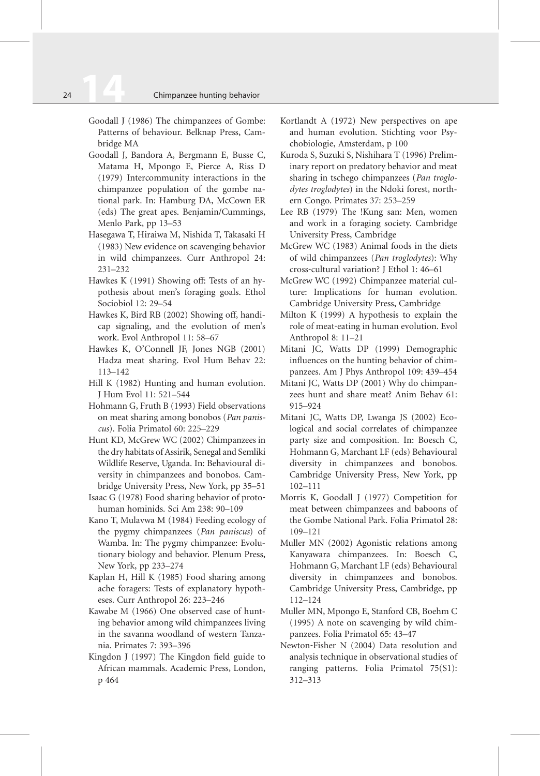Goodall J (1986) The chimpanzees of Gombe: Patterns of behaviour. Belknap Press, Cambridge MA

- Goodall J, Bandora A, Bergmann E, Busse C, Matama H, Mpongo E, Pierce A, Riss D (1979) Intercommunity interactions in the chimpanzee population of the gombe national park. In: Hamburg DA, McCown ER (eds) The great apes. Benjamin/Cummings, Menlo Park, pp 13–53
- Hasegawa T, Hiraiwa M, Nishida T, Takasaki H (1983) New evidence on scavenging behavior in wild chimpanzees. Curr Anthropol 24: 231–232
- Hawkes K (1991) Showing off: Tests of an hypothesis about men's foraging goals. Ethol Sociobiol 12: 29–54
- Hawkes K, Bird RB (2002) Showing off, handicap signaling, and the evolution of men's work. Evol Anthropol 11: 58–67
- Hawkes K, O'Connell JF, Jones NGB (2001) Hadza meat sharing. Evol Hum Behav 22: 113–142
- Hill K (1982) Hunting and human evolution. J Hum Evol 11: 521–544
- Hohmann G, Fruth B (1993) Field observations on meat sharing among bonobos (Pan paniscus). Folia Primatol 60: 225–229
- Hunt KD, McGrew WC (2002) Chimpanzees in the dry habitats of Assirik, Senegal and Semliki Wildlife Reserve, Uganda. In: Behavioural diversity in chimpanzees and bonobos. Cambridge University Press, New York, pp 35–51
- Isaac G (1978) Food sharing behavior of proto‐ human hominids. Sci Am 238: 90–109
- Kano T, Mulavwa M (1984) Feeding ecology of the pygmy chimpanzees (Pan paniscus) of Wamba. In: The pygmy chimpanzee: Evolutionary biology and behavior. Plenum Press, New York, pp 233–274
- Kaplan H, Hill K (1985) Food sharing among ache foragers: Tests of explanatory hypotheses. Curr Anthropol 26: 223–246
- Kawabe M (1966) One observed case of hunting behavior among wild chimpanzees living in the savanna woodland of western Tanzania. Primates 7: 393–396
- Kingdon J (1997) The Kingdon field guide to African mammals. Academic Press, London, p 464
- Kortlandt A (1972) New perspectives on ape and human evolution. Stichting voor Psychobiologie, Amsterdam, p 100
- Kuroda S, Suzuki S, Nishihara T (1996) Preliminary report on predatory behavior and meat sharing in tschego chimpanzees (Pan troglodytes troglodytes) in the Ndoki forest, northern Congo. Primates 37: 253–259
- Lee RB (1979) The !Kung san: Men, women and work in a foraging society. Cambridge University Press, Cambridge
- McGrew WC (1983) Animal foods in the diets of wild chimpanzees (Pan troglodytes): Why cross‐cultural variation? J Ethol 1: 46–61
- McGrew WC (1992) Chimpanzee material culture: Implications for human evolution. Cambridge University Press, Cambridge
- Milton K (1999) A hypothesis to explain the role of meat‐eating in human evolution. Evol Anthropol 8: 11–21
- Mitani JC, Watts DP (1999) Demographic influences on the hunting behavior of chimpanzees. Am J Phys Anthropol 109: 439–454
- Mitani JC, Watts DP (2001) Why do chimpanzees hunt and share meat? Anim Behav 61: 915–924
- Mitani JC, Watts DP, Lwanga JS (2002) Ecological and social correlates of chimpanzee party size and composition. In: Boesch C, Hohmann G, Marchant LF (eds) Behavioural diversity in chimpanzees and bonobos. Cambridge University Press, New York, pp 102–111
- Morris K, Goodall J (1977) Competition for meat between chimpanzees and baboons of the Gombe National Park. Folia Primatol 28: 109–121
- Muller MN (2002) Agonistic relations among Kanyawara chimpanzees. In: Boesch C, Hohmann G, Marchant LF (eds) Behavioural diversity in chimpanzees and bonobos. Cambridge University Press, Cambridge, pp 112–124
- Muller MN, Mpongo E, Stanford CB, Boehm C (1995) A note on scavenging by wild chimpanzees. Folia Primatol 65: 43–47
- Newton‐Fisher N (2004) Data resolution and analysis technique in observational studies of ranging patterns. Folia Primatol 75(S1): 312–313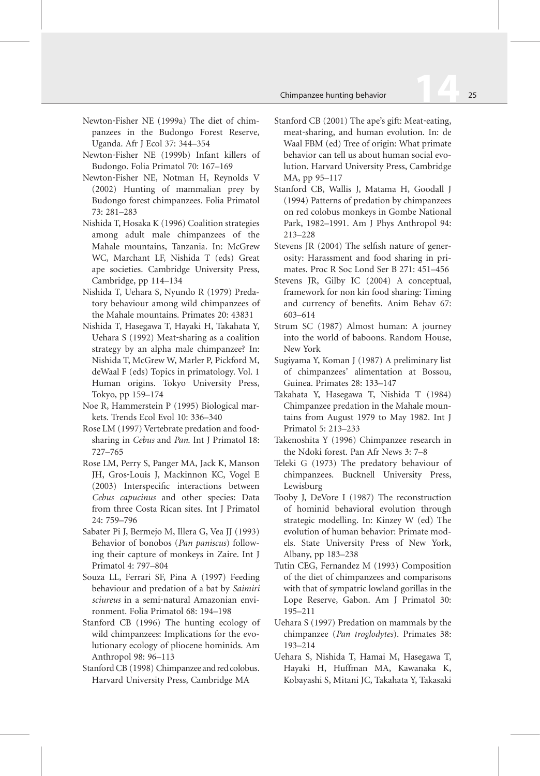- 
- 
- Newton‐Fisher NE (1999a) The diet of chimpanzees in the Budongo Forest Reserve, Uganda. Afr J Ecol 37: 344–354
- Newton‐Fisher NE (1999b) Infant killers of Budongo. Folia Primatol 70: 167–169
- Newton‐Fisher NE, Notman H, Reynolds V (2002) Hunting of mammalian prey by Budongo forest chimpanzees. Folia Primatol 73: 281–283
- Nishida T, Hosaka K (1996) Coalition strategies among adult male chimpanzees of the Mahale mountains, Tanzania. In: McGrew WC, Marchant LF, Nishida T (eds) Great ape societies. Cambridge University Press, Cambridge, pp 114–134
- Nishida T, Uehara S, Nyundo R (1979) Predatory behaviour among wild chimpanzees of the Mahale mountains. Primates 20: 43831
- Nishida T, Hasegawa T, Hayaki H, Takahata Y, Uehara S (1992) Meat‐sharing as a coalition strategy by an alpha male chimpanzee? In: Nishida T, McGrew W, Marler P, Pickford M, deWaal F (eds) Topics in primatology. Vol. 1 Human origins. Tokyo University Press, Tokyo, pp 159–174
- Noe R, Hammerstein P (1995) Biological markets. Trends Ecol Evol 10: 336–340
- Rose LM (1997) Vertebrate predation and food‐ sharing in Cebus and Pan. Int J Primatol 18: 727–765
- Rose LM, Perry S, Panger MA, Jack K, Manson JH, Gros‐Louis J, Mackinnon KC, Vogel E (2003) Interspecific interactions between Cebus capucinus and other species: Data from three Costa Rican sites. Int J Primatol 24: 759–796
- Sabater Pi J, Bermejo M, Illera G, Vea JJ (1993) Behavior of bonobos (Pan paniscus) following their capture of monkeys in Zaire. Int J Primatol 4: 797–804
- Souza LL, Ferrari SF, Pina A (1997) Feeding behaviour and predation of a bat by Saimiri sciureus in a semi‐natural Amazonian environment. Folia Primatol 68: 194–198
- Stanford CB (1996) The hunting ecology of wild chimpanzees: Implications for the evolutionary ecology of pliocene hominids. Am Anthropol 98: 96–113
- Stanford CB (1998) Chimpanzee and red colobus. Harvard University Press, Cambridge MA
- Stanford CB (2001) The ape's gift: Meat-eating, meat‐sharing, and human evolution. In: de Waal FBM (ed) Tree of origin: What primate behavior can tell us about human social evolution. Harvard University Press, Cambridge MA, pp 95–117
- Stanford CB, Wallis J, Matama H, Goodall J (1994) Patterns of predation by chimpanzees on red colobus monkeys in Gombe National Park, 1982–1991. Am J Phys Anthropol 94: 213–228
- Stevens JR (2004) The selfish nature of generosity: Harassment and food sharing in primates. Proc R Soc Lond Ser B 271: 451–456
- Stevens JR, Gilby IC (2004) A conceptual, framework for non kin food sharing: Timing and currency of benefits. Anim Behav 67: 603–614
- Strum SC (1987) Almost human: A journey into the world of baboons. Random House, New York
- Sugiyama Y, Koman J (1987) A preliminary list of chimpanzees' alimentation at Bossou, Guinea. Primates 28: 133–147
- Takahata Y, Hasegawa T, Nishida T (1984) Chimpanzee predation in the Mahale mountains from August 1979 to May 1982. Int J Primatol 5: 213–233
- Takenoshita Y (1996) Chimpanzee research in the Ndoki forest. Pan Afr News 3: 7–8
- Teleki G (1973) The predatory behaviour of chimpanzees. Bucknell University Press, Lewisburg
- Tooby J, DeVore I (1987) The reconstruction of hominid behavioral evolution through strategic modelling. In: Kinzey W (ed) The evolution of human behavior: Primate models. State University Press of New York, Albany, pp 183–238
- Tutin CEG, Fernandez M (1993) Composition of the diet of chimpanzees and comparisons with that of sympatric lowland gorillas in the Lope Reserve, Gabon. Am J Primatol 30: 195–211
- Uehara S (1997) Predation on mammals by the chimpanzee (Pan troglodytes). Primates 38: 193–214
- Uehara S, Nishida T, Hamai M, Hasegawa T, Hayaki H, Huffman MA, Kawanaka K, Kobayashi S, Mitani JC, Takahata Y, Takasaki